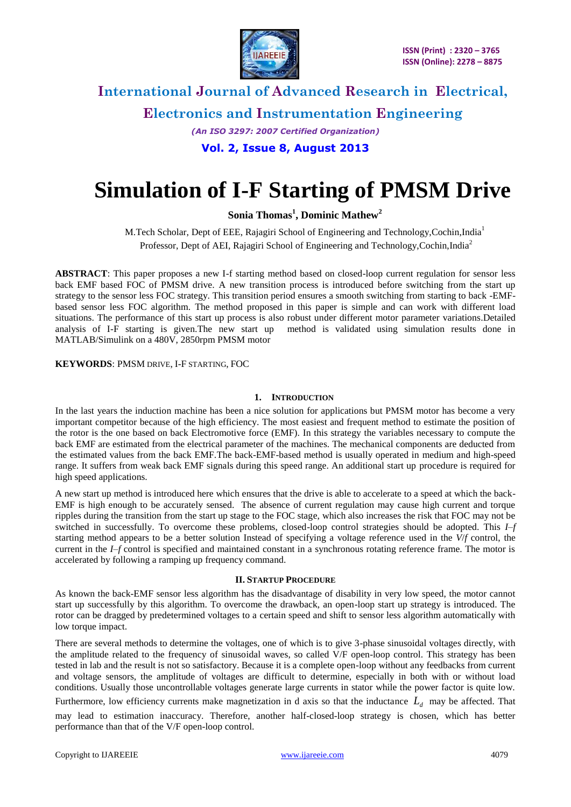

**Electronics and Instrumentation Engineering**

*(An ISO 3297: 2007 Certified Organization)*

### **Vol. 2, Issue 8, August 2013**

# **Simulation of I-F Starting of PMSM Drive**

**Sonia Thomas<sup>1</sup> , Dominic Mathew<sup>2</sup>**

M.Tech Scholar, Dept of EEE, Rajagiri School of Engineering and Technology, Cochin, India<sup>1</sup> Professor, Dept of AEI, Rajagiri School of Engineering and Technology, Cochin, India<sup>2</sup>

**ABSTRACT**: This paper proposes a new I-f starting method based on closed-loop current regulation for sensor less back EMF based FOC of PMSM drive. A new transition process is introduced before switching from the start up strategy to the sensor less FOC strategy. This transition period ensures a smooth switching from starting to back -EMFbased sensor less FOC algorithm. The method proposed in this paper is simple and can work with different load situations. The performance of this start up process is also robust under different motor parameter variations.Detailed analysis of I-F starting is given.The new start up method is validated using simulation results done in MATLAB/Simulink on a 480V, 2850rpm PMSM motor

**KEYWORDS**: PMSM DRIVE, I-F STARTING, FOC

#### **1. INTRODUCTION**

In the last years the induction machine has been a nice solution for applications but PMSM motor has become a very important competitor because of the high efficiency. The most easiest and frequent method to estimate the position of the rotor is the one based on back Electromotive force (EMF). In this strategy the variables necessary to compute the back EMF are estimated from the electrical parameter of the machines. The mechanical components are deducted from the estimated values from the back EMF.The back-EMF-based method is usually operated in medium and high-speed range. It suffers from weak back EMF signals during this speed range. An additional start up procedure is required for high speed applications.

A new start up method is introduced here which ensures that the drive is able to accelerate to a speed at which the back-EMF is high enough to be accurately sensed. The absence of current regulation may cause high current and torque ripples during the transition from the start up stage to the FOC stage, which also increases the risk that FOC may not be switched in successfully. To overcome these problems, closed-loop control strategies should be adopted. This *I–f*  starting method appears to be a better solution Instead of specifying a voltage reference used in the *V*/*f* control, the current in the *I–f* control is specified and maintained constant in a synchronous rotating reference frame. The motor is accelerated by following a ramping up frequency command.

#### **II. STARTUP PROCEDURE**

As known the back-EMF sensor less algorithm has the disadvantage of disability in very low speed, the motor cannot start up successfully by this algorithm. To overcome the drawback, an open-loop start up strategy is introduced. The rotor can be dragged by predetermined voltages to a certain speed and shift to sensor less algorithm automatically with low torque impact.

There are several methods to determine the voltages, one of which is to give 3-phase sinusoidal voltages directly, with the amplitude related to the frequency of sinusoidal waves, so called V/F open-loop control. This strategy has been tested in lab and the result is not so satisfactory. Because it is a complete open-loop without any feedbacks from current and voltage sensors, the amplitude of voltages are difficult to determine, especially in both with or without load conditions. Usually those uncontrollable voltages generate large currents in stator while the power factor is quite low. Furthermore, low efficiency currents make magnetization in d axis so that the inductance  $L_d$  may be affected. That

may lead to estimation inaccuracy. Therefore, another half-closed-loop strategy is chosen, which has better performance than that of the V/F open-loop control.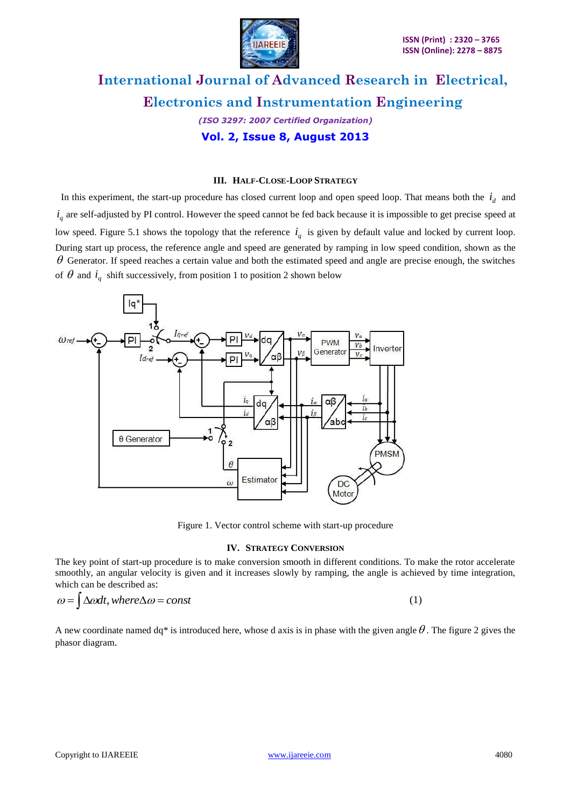

# **International Journal of Advanced Research in Electrical, Electronics and Instrumentation Engineering** *(ISO 3297: 2007 Certified Organization)*

**Vol. 2, Issue 8, August 2013**

#### **III. HALF-CLOSE-LOOP STRATEGY**

In this experiment, the start-up procedure has closed current loop and open speed loop. That means both the  $i_d$  and  $i_q$  are self-adjusted by PI control. However the speed cannot be fed back because it is impossible to get precise speed at low speed. Figure 5.1 shows the topology that the reference  $i_q$  is given by default value and locked by current loop. During start up process, the reference angle and speed are generated by ramping in low speed condition, shown as the  $\theta$  Generator. If speed reaches a certain value and both the estimated speed and angle are precise enough, the switches of  $\theta$  and  $i_q$  shift successively, from position 1 to position 2 shown below



Figure 1. Vector control scheme with start-up procedure

#### **IV. STRATEGY CONVERSION**

The key point of start-up procedure is to make conversion smooth in different conditions. To make the rotor accelerate smoothly, an angular velocity is given and it increases slowly by ramping, the angle is achieved by time integration, which can be described as:

$$
\omega = \int \Delta \omega dt, \text{ where } \Delta \omega = \text{const}
$$
 (1)

A new coordinate named dq<sup>\*</sup> is introduced here, whose d axis is in phase with the given angle  $\theta$ . The figure 2 gives the phasor diagram.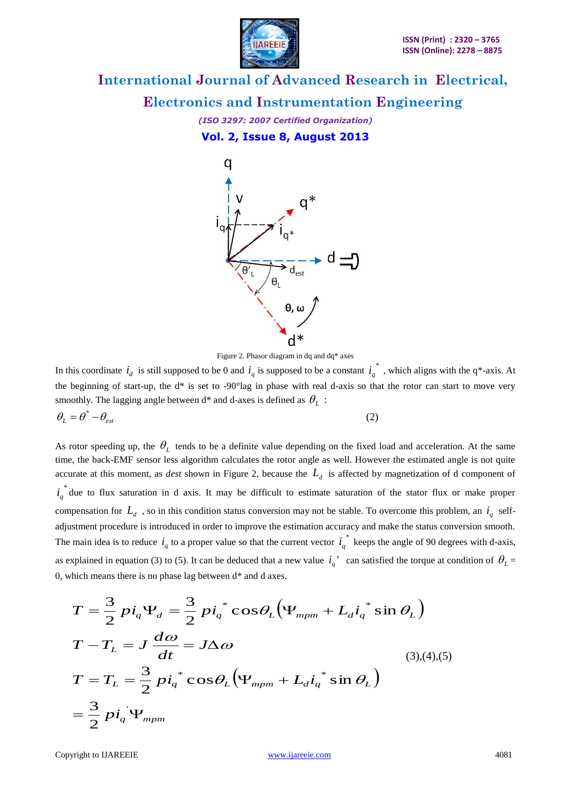

**Electronics and Instrumentation Engineering**

*(ISO 3297: 2007 Certified Organization)* **Vol. 2, Issue 8, August 2013**



Figure 2. Phasor diagram in dq and dq\* axes

In this coordinate  $i_d$  is still supposed to be 0 and  $i_q$  is supposed to be a constant  $i_q^*$  $i_q^*$ , which aligns with the q\*-axis. At the beginning of start-up, the  $d^*$  is set to -90 $^{\circ}$ lag in phase with real d-axis so that the rotor can start to move very smoothly. The lagging angle between  $d^*$  and d-axes is defined as  $\theta_L$ :

$$
\theta_L = \theta^* - \theta_{est} \tag{2}
$$

As rotor speeding up, the  $\theta_L$  tends to be a definite value depending on the fixed load and acceleration. At the same time, the back-EMF sensor less algorithm calculates the rotor angle as well. However the estimated angle is not quite accurate at this moment, as *dest* shown in Figure 2, because the  $L_d$  is affected by magnetization of d component of \*  $i_q^*$  due to flux saturation in d axis. It may be difficult to estimate saturation of the stator flux or make proper compensation for  $L_d$ , so in this condition status conversion may not be stable. To overcome this problem, an  $i_q$  selfadjustment procedure is introduced in order to improve the estimation accuracy and make the status conversion smooth. The main idea is to reduce  $i_q$  to a proper value so that the current vector  $i_q^*$  $i_q^*$  keeps the angle of 90 degrees with d-axis, as explained in equation (3) to (5). It can be deduced that a new value  $i_q$ <sup>'</sup> can satisfied the torque at condition of  $\theta_L$  = 0, which means there is no phase lag between  $d^*$  and d axes.

$$
T = \frac{3}{2} p i_q \Psi_d = \frac{3}{2} p i_q^* \cos \theta_L (\Psi_{mpm} + L_d i_q^* \sin \theta_L)
$$
  
\n
$$
T - T_L = J \frac{d\omega}{dt} = J \Delta \omega
$$
  
\n
$$
T = T_L = \frac{3}{2} p i_q^* \cos \theta_L (\Psi_{mpm} + L_d i_q^* \sin \theta_L)
$$
  
\n
$$
= \frac{3}{2} p i_q^* \Psi_{mpm}
$$
  
\n(3),(4),(5)

Copyright to IJAREEIE [www.ijareeie.com](http://www.ijareeie.com/) 4081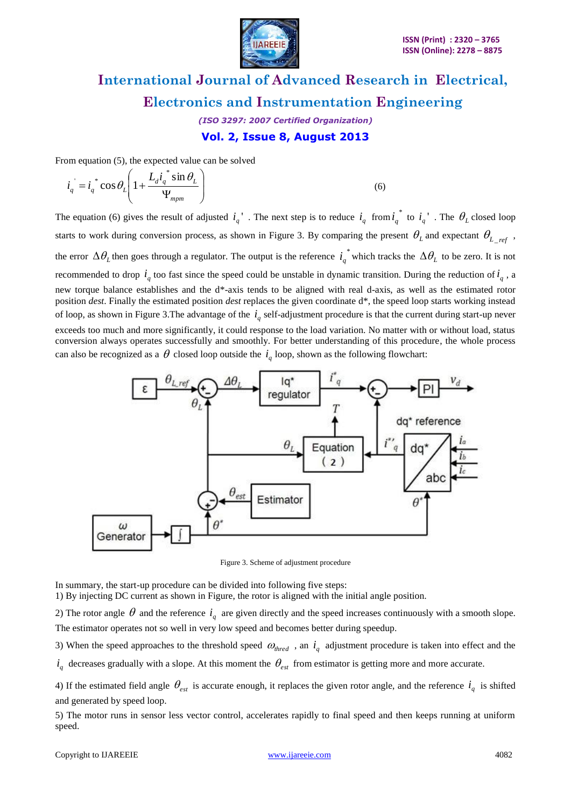

*(ISO 3297: 2007 Certified Organization)* **Vol. 2, Issue 8, August 2013**

From equation (5), the expected value can be solved

$$
\vec{i}_q = \vec{i}_q^* \cos \theta_L \left( 1 + \frac{L_d \vec{i}_q^* \sin \theta_L}{\Psi_{mpm}} \right)
$$
(6)

The equation (6) gives the result of adjusted  $i_q$ <sup>'</sup>. The next step is to reduce  $i_q$  from  $i_q^*$  $i_q^*$  to  $i_q^*$ . The  $\theta_L$  closed loop starts to work during conversion process, as shown in Figure 3. By comparing the present  $\theta_L$  and expectant  $\theta_L_{ref}$ , the error  $\Delta \theta_L$  then goes through a regulator. The output is the reference  $i_q^*$  $i_q$ <sup>\*</sup> which tracks the  $\Delta \theta_L$  to be zero. It is not recommended to drop  $i_q$  too fast since the speed could be unstable in dynamic transition. During the reduction of  $i_q$ , a new torque balance establishes and the d\*-axis tends to be aligned with real d-axis, as well as the estimated rotor position *dest*. Finally the estimated position *dest* replaces the given coordinate d\*, the speed loop starts working instead of loop, as shown in Figure 3. The advantage of the  $i_q$  self-adjustment procedure is that the current during start-up never exceeds too much and more significantly, it could response to the load variation. No matter with or without load, status conversion always operates successfully and smoothly. For better understanding of this procedure, the whole process can also be recognized as a  $\theta$  closed loop outside the  $i_q$  loop, shown as the following flowchart:



Figure 3. Scheme of adjustment procedure

In summary, the start-up procedure can be divided into following five steps:

1) By injecting DC current as shown in Figure, the rotor is aligned with the initial angle position.

2) The rotor angle  $\theta$  and the reference  $i_q$  are given directly and the speed increases continuously with a smooth slope. The estimator operates not so well in very low speed and becomes better during speedup.

3) When the speed approaches to the threshold speed  $\omega_{thread}$ , an  $i_q$  adjustment procedure is taken into effect and the

 $i_q$  decreases gradually with a slope. At this moment the  $\theta_{est}$  from estimator is getting more and more accurate.

4) If the estimated field angle  $\theta_{est}$  is accurate enough, it replaces the given rotor angle, and the reference  $i_q$  is shifted and generated by speed loop.

5) The motor runs in sensor less vector control, accelerates rapidly to final speed and then keeps running at uniform speed.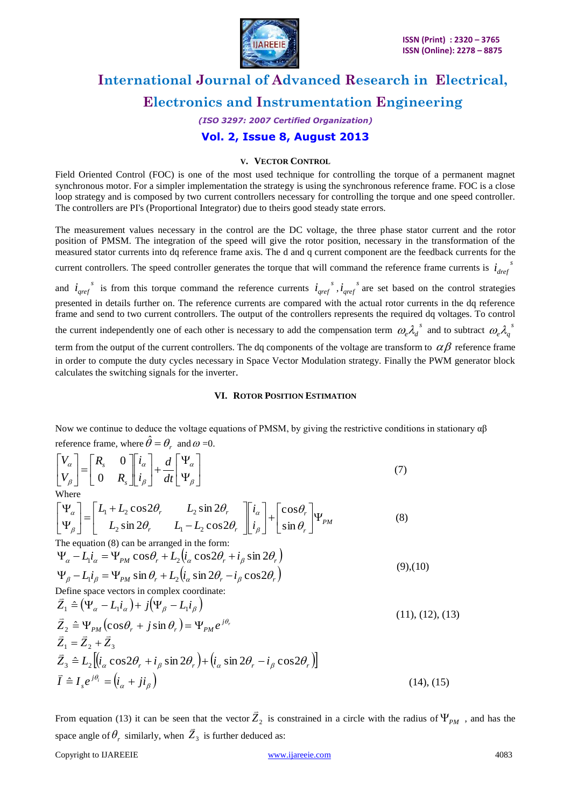

*(ISO 3297: 2007 Certified Organization)*

### **Vol. 2, Issue 8, August 2013**

#### **V. VECTOR CONTROL**

Field Oriented Control (FOC) is one of the most used technique for controlling the torque of a permanent magnet synchronous motor. For a simpler implementation the strategy is using the synchronous reference frame. FOC is a close loop strategy and is composed by two current controllers necessary for controlling the torque and one speed controller. The controllers are PI's (Proportional Integrator) due to theirs good steady state errors.

The measurement values necessary in the control are the DC voltage, the three phase stator current and the rotor position of PMSM. The integration of the speed will give the rotor position, necessary in the transformation of the measured stator currents into dq reference frame axis. The d and q current component are the feedback currents for the

current controllers. The speed controller generates the torque that will command the reference frame currents is  $i_{def}$ <sup>s</sup>

and  $i_{\text{gref}}^s$  is from this torque command the reference currents  $i_{\text{gref}}^s$ ,  $i_{\text{gref}}^s$  are set based on the control strategies presented in details further on. The reference currents are compared with the actual rotor currents in the dq reference frame and send to two current controllers. The output of the controllers represents the required dq voltages. To control

the current independently one of each other is necessary to add the compensation term  $\omega_e \lambda_d^{\ s}$  and to subtract  $\omega_e \lambda_q^{\ s}$ 

term from the output of the current controllers. The dq components of the voltage are transform to  $\alpha\beta$  reference frame in order to compute the duty cycles necessary in Space Vector Modulation strategy. Finally the PWM generator block calculates the switching signals for the inverter.

#### **VI. ROTOR POSITION ESTIMATION**

Now we continue to deduce the voltage equations of PMSM, by giving the restrictive conditions in stationary  $\alpha\beta$ reference frame, where  $\hat{\theta} = \theta_r$  and  $\omega = 0$ .

$$
\begin{bmatrix} V_{\alpha} \\ V_{\beta} \end{bmatrix} = \begin{bmatrix} R_s & 0 \\ 0 & R_s \end{bmatrix} \begin{bmatrix} i_{\alpha} \\ i_{\beta} \end{bmatrix} + \frac{d}{dt} \begin{bmatrix} \Psi_{\alpha} \\ \Psi_{\beta} \end{bmatrix}
$$
\n(7)

$$
\begin{bmatrix} \Psi_{\alpha} \\ \Psi_{\beta} \end{bmatrix} = \begin{bmatrix} L_1 + L_2 \cos 2\theta_r & L_2 \sin 2\theta_r \\ L_2 \sin 2\theta_r & L_1 - L_2 \cos 2\theta_r \end{bmatrix} \begin{bmatrix} i_{\alpha} \\ i_{\beta} \end{bmatrix} + \begin{bmatrix} \cos \theta_r \\ \sin \theta_r \end{bmatrix} \Psi_{PM}
$$
(8)

The equation (8) can be arranged in the form:

$$
\Psi_{\alpha} - L_1 i_{\alpha} = \Psi_{PM} \cos \theta_r + L_2 (i_{\alpha} \cos 2\theta_r + i_{\beta} \sin 2\theta_r)
$$
  
\n
$$
\Psi_{\beta} - L_1 i_{\beta} = \Psi_{PM} \sin \theta_r + L_2 (i_{\alpha} \sin 2\theta_r - i_{\beta} \cos 2\theta_r)
$$
\n(9),(10)

Define space vectors in complex coordinate: パニ

$$
\begin{aligned}\n\bar{Z}_1 &\triangleq \left(\Psi_\alpha - L_1 i_\alpha\right) + j \left(\Psi_\beta - L_1 i_\beta\right) \\
\bar{Z}_2 &\triangleq \Psi_{PM} \left(\cos\theta_r + j\sin\theta_r\right) = \Psi_{PM} e^{j\theta_r} \\
\bar{Z}_1 &= \bar{Z}_2 + \bar{Z}_3 \\
\bar{Z}_3 &\triangleq L_2 \left[\left(i_\alpha \cos 2\theta_r + i_\beta \sin 2\theta_r\right) + \left(i_\alpha \sin 2\theta_r - i_\beta \cos 2\theta_r\right)\right] \\
\bar{I} &\triangleq I_s e^{j\theta_i} = \left(i_\alpha + j i_\beta\right)\n\end{aligned} \tag{14}
$$

From equation (13) it can be seen that the vector  $\overline{Z}_2$  $\overline{a}$ that the vector  $\overline{Z}_2$  is constrained in a circle with the radius of  $\Psi_{PM}$ , and has the space angle of  $\theta_r$  similarly, when  $Z_3$  is further deduced as:

Copyright to IJAREEIE [www.ijareeie.com](http://www.ijareeie.com/) 4083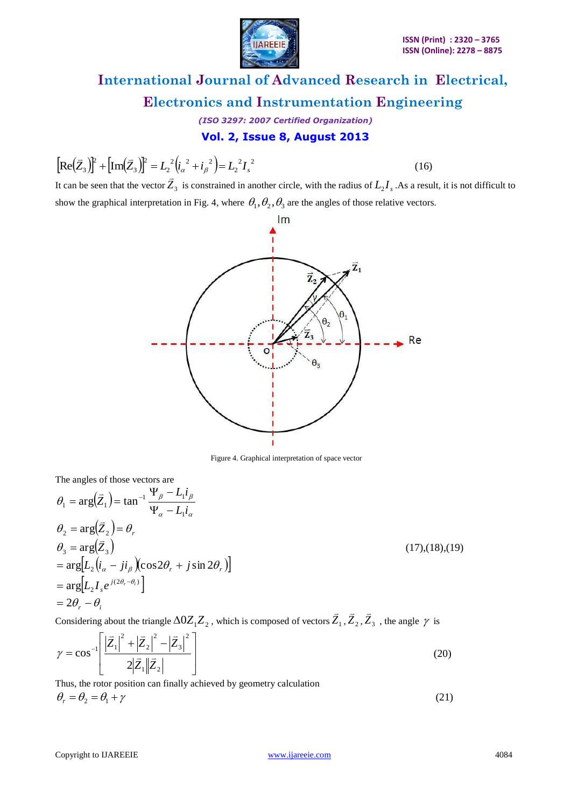

*(ISO 3297: 2007 Certified Organization)*

### **Vol. 2, Issue 8, August 2013**

 $2 \times 2$  $\overline{2}$  $2 \cdot 2 \cdot 2$  $\overline{c}$ 2 3  $[\text{Re}(\bar{Z}_{3})]^{2} + [\text{Im}(\bar{Z}_{3})]^{2} = L_{2}^{2}(\bar{i}_{\alpha}^{2} + \bar{i}_{\beta}^{2}) = L_{2}^{2}I_{\alpha}$  $\Rightarrow$   $\lambda$ **D**  $\Gamma$   $\Rightarrow$   $\Gamma$  $\overline{a}$ 

(16)

It can be seen that the vector  $Z_3$ is constrained in another circle, with the radius of  $L_2 I_s$ . As a result, it is not difficult to show the graphical interpretation in Fig. 4, where  $\theta_1, \theta_2, \theta_3$  are the angles of those relative vectors.



Figure 4. Graphical interpretation of space vector

The angles of those vectors are

$$
\theta_1 = \arg(\bar{Z}_1) = \tan^{-1} \frac{\Psi_\beta - L_1 i_\beta}{\Psi_\alpha - L_1 i_\alpha}
$$
  
\n
$$
\theta_2 = \arg(\bar{Z}_2) = \theta_r
$$
  
\n
$$
\theta_3 = \arg(\bar{Z}_3)
$$
  
\n
$$
= \arg[L_2 (i_\alpha - ji_\beta)(\cos 2\theta_r + j \sin 2\theta_r)]
$$
  
\n
$$
= \arg[L_2 I_s e^{j(2\theta_r - \theta_r)}]
$$
  
\n
$$
= 2\theta_r - \theta_i
$$

Considering about the triangle  $\Delta 0Z_{1}Z_{2}$  , which is composed of vectors  $\bar{Z}_{1}$  $,\bar{Z}_{2}$  $,Z_3$ , the angle  $\gamma$  is

$$
\gamma = \cos^{-1} \left[ \frac{\left| \vec{Z}_1 \right|^2 + \left| \vec{Z}_2 \right|^2 - \left| \vec{Z}_3 \right|^2}{2\left| \vec{Z}_1 \right| \left| \vec{Z}_2 \right|} \right] \tag{20}
$$

Thus, the rotor position can finally achieved by geometry calculation  $\theta_r = \theta_2 = \theta_1 + \gamma$ (21)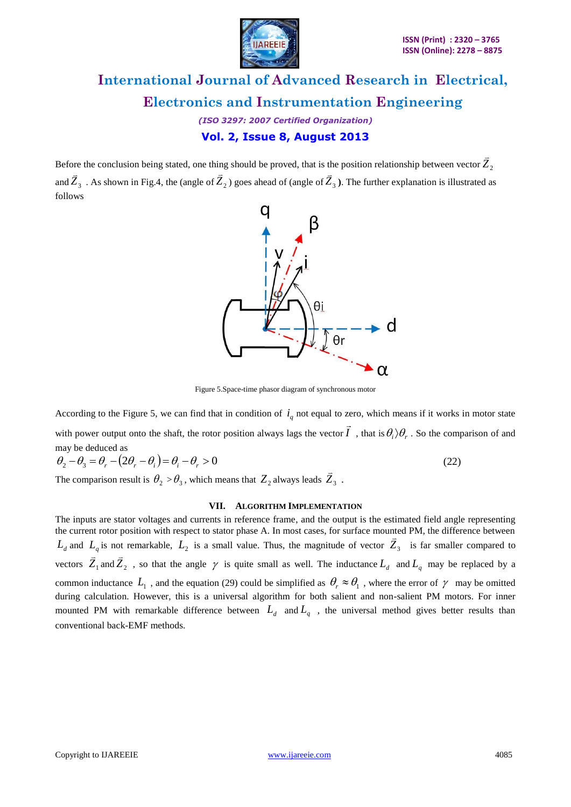

*(ISO 3297: 2007 Certified Organization)* **Vol. 2, Issue 8, August 2013**

Before the conclusion being stated, one thing should be proved, that is the position relationship between vector  $Z_2$  $\overline{a}$ and  $\bar{Z}_3$  $\frac{1}{2}$ . As shown in Fig.4, the (angle of  $Z_2$ ) goes ahead of (angle of  $\overline{Z}_3$  $\frac{1}{2}$  $\frac{1}{1}$ **)**. The further explanation is illustrated as follows



Figure 5.Space-time phasor diagram of synchronous motor

According to the Figure 5, we can find that in condition of  $i_q$  not equal to zero, which means if it works in motor state with power output onto the shaft, the rotor position always lags the vector *I*  $\rightarrow$ , that is  $\theta_i$   $\rangle$   $\theta_r$  . So the comparison of and may be deduced as

$$
\theta_2 - \theta_3 = \theta_r - (2\theta_r - \theta_i) = \theta_i - \theta_r > 0
$$
\n(22)

The comparison result is  $\theta_2 > \theta_3$ , which means that  $Z_2$  always leads  $\overline{Z}_3$ .

#### **VII. ALGORITHM IMPLEMENTATION**

The inputs are stator voltages and currents in reference frame, and the output is the estimated field angle representing the current rotor position with respect to stator phase A. In most cases, for surface mounted PM, the difference between  $L_d$  and  $L_q$  is not remarkable,  $L_2$  is a small value. Thus, the magnitude of vector  $\bar{Z}_3$  is far smaller compared to vectors  $Z_1$  and  $Z_2$ , so that the angle  $\gamma$  is quite small as well. The inductance  $L_d$  and  $L_q$  may be replaced by a  $\equiv$   $\equiv$ common inductance  $L_1$ , and the equation (29) could be simplified as  $\theta_r \approx \theta_1$ , where the error of  $\gamma$  may be omitted during calculation. However, this is a universal algorithm for both salient and non-salient PM motors. For inner mounted PM with remarkable difference between  $L_d$  and  $L_q$ , the universal method gives better results than conventional back-EMF methods.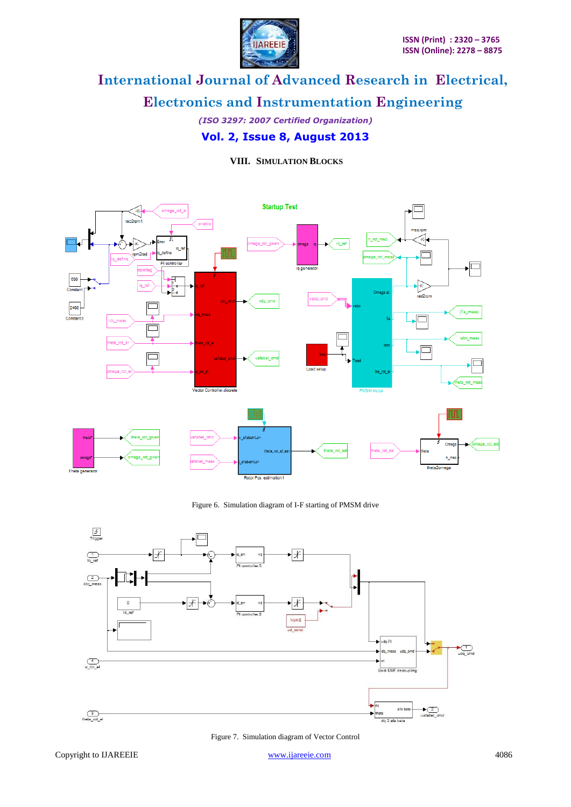### **Electronics and Instrumentation Engineering**

*(ISO 3297: 2007 Certified Organization)* **Vol. 2, Issue 8, August 2013**

### **VIII. SIMULATION BLOCKS**



#### Figure 6. Simulation diagram of I-F starting of PMSM drive



Figure 7. Simulation diagram of Vector Control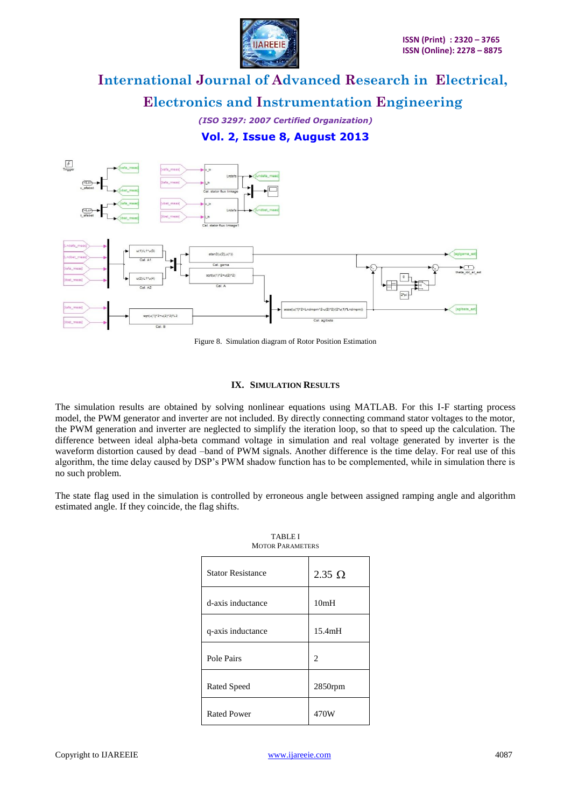

**Electronics and Instrumentation Engineering**

*(ISO 3297: 2007 Certified Organization)* **Vol. 2, Issue 8, August 2013**



Figure 8. Simulation diagram of Rotor Position Estimation

#### **IX. SIMULATION RESULTS**

The simulation results are obtained by solving nonlinear equations using MATLAB. For this I-F starting process model, the PWM generator and inverter are not included. By directly connecting command stator voltages to the motor, the PWM generation and inverter are neglected to simplify the iteration loop, so that to speed up the calculation. The difference between ideal alpha-beta command voltage in simulation and real voltage generated by inverter is the waveform distortion caused by dead –band of PWM signals. Another difference is the time delay. For real use of this algorithm, the time delay caused by DSP's PWM shadow function has to be complemented, while in simulation there is no such problem.

The state flag used in the simulation is controlled by erroneous angle between assigned ramping angle and algorithm estimated angle. If they coincide, the flag shifts.

| <b>TABLE I</b><br><b>MOTOR PARAMETERS</b> |               |
|-------------------------------------------|---------------|
| <b>Stator Resistance</b>                  | $2.35 \Omega$ |
| d-axis inductance                         | 10mH          |
| q-axis inductance                         | 15.4mH        |
| Pole Pairs                                | 2             |
| Rated Speed                               | 2850rpm       |
| <b>Rated Power</b>                        | 470W          |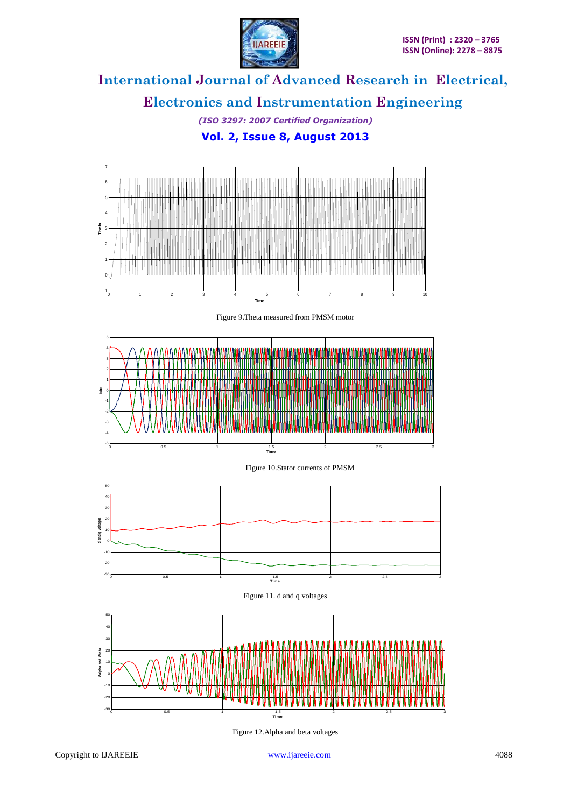

**Electronics and Instrumentation Engineering**

*(ISO 3297: 2007 Certified Organization)* **Vol. 2, Issue 8, August 2013**



Figure 12.Alpha and beta voltages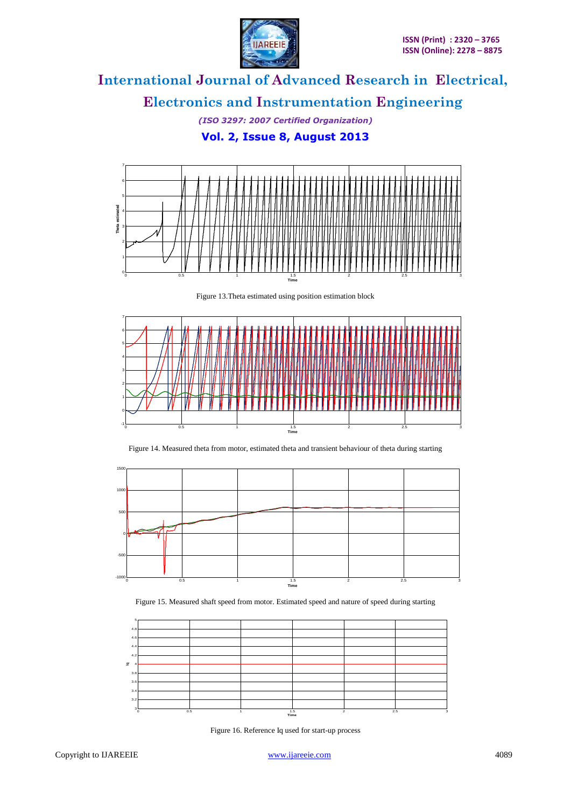

**Electronics and Instrumentation Engineering**

*(ISO 3297: 2007 Certified Organization)* **Vol. 2, Issue 8, August 2013**











Figure 15. Measured shaft speed from motor. Estimated speed and nature of speed during starting



Figure 16. Reference Iq used for start-up process